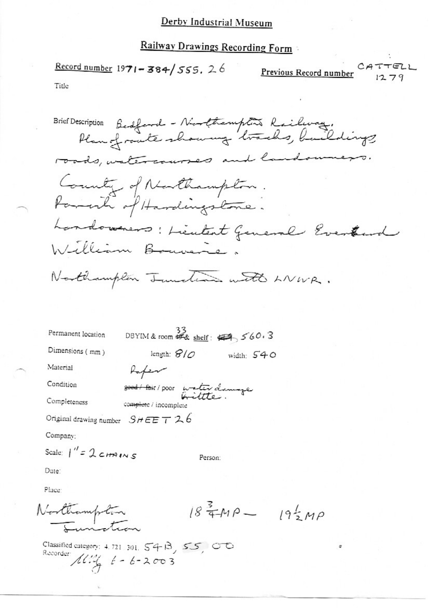# Railway Drawings Recording Form

Record number 1971-384/555. 26 CATTELL Previous Record number  $1279$ Title

Brief Description Bedford - Northampton Railway.<br>Plan of route showing tracks, buildings roads, watercourses and landowne County of Northampton. Parante of Hardingstone. Landowners: Lieutent General Eventural William Bouvere. Northampton Tuncture with LNWR. DBYIM & room  $\frac{33}{48}$  shelf:  $\leftarrow$  560.3 Permanent location Dimensions (mm) length:  $810$ width:  $540$ Material Rafen Condition good / fair / poor water damage Completeness complete / incomplete Original drawing number  $SHEET26$ Company: Scale:  $1'' = 2c$ HAINS Person:

Date:

Place:

Northampton

 $18^{3}$  TMP  $- 19^{1}$  MP

Classified category: 4.721 301,  $54B$ ,  $55$ ,  $00$ Recorder  $10\frac{1}{4}$   $6 - 6 - 2003$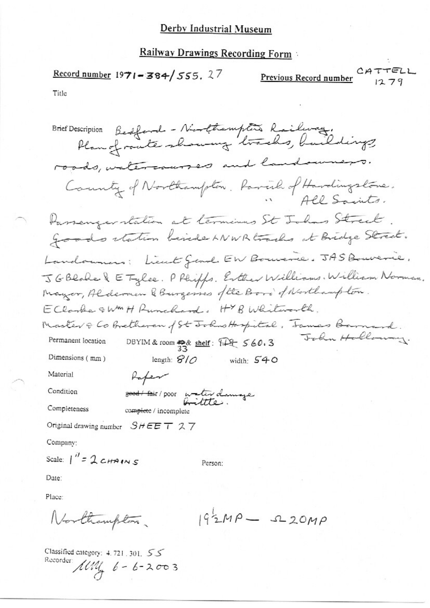## **Railway Drawings Recording Form**

Previous Record number<br> $CATTELL$ Record number 1971-384/555, 27

Title

Brief Description Bedford - Northampton Railway.<br>Plan of route showing tracks, buildings roads, watercourses and landowners. County of Northampton. Parcil of Hardingstone. APP Squits. Passenger station at terminas St Johns Street. goods station beside LNWR tracks at Bridge Street. Landonners; Lieut Gend EW Bouverie. JAS Bouverie. JGBlode & E Tylee. P Phipps. Exter Williams. William Norman. Mayor, Alderman & Burgesses of the Boro's of Northampton. EClarke & WM H Runchard, HYB Whiteverth, Master & Co Bretheren of St Johns Haspital, James Barnard. John Holloway. DBYIM & room  $\frac{45}{33}$  shelf:  $\frac{12}{33}$  560.3 Permanent location Dimensions (mm) length:  $8/0$  width:  $540$ Material Rafen Condition good / fair / poor water damage Completeness complete / incomplete Original drawing number  $SHEET$  27 Company: Scale:  $1'' = 2c$ HAINS Person: Date: Place:

Northampton.  $192MP - 220MP$ 

Classified category:  $4.721$ , 301,  $55$ Recorder:  $100\frac{1}{9}$  6 - 6 - 2003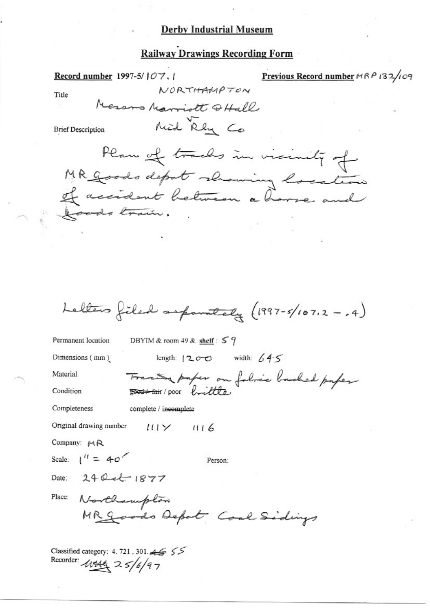# **Railway Drawings Recording Form**

Previous Record number HRP 132/109 Record number 1997-5/107, 1 NORTHAMPTON Title Messons Marriott QHall Mid Rhy Co **Brief Description** Plan of tracks in vicinity of MR Goods depot showing location of accident between a house and Joods train. Letters filed separately (1997-5/107.2 -. 4) DBYIM & room 49 & shelf :  $59$ Permanent location length:  $200$  width:  $645$ Dimensions (mm) Tractor paper on folice backed paper Material Condition Completeness complete / incomplete Original drawing number  $111 \times 116$ Company: MR Scale:  $1'' = 40$ Person: Date: 24 Oct 1877 Place: Northamplon MR goods Depot Cool Sidings Classified category: 4.721.301.45 55

Recorder: 10444 25/6/97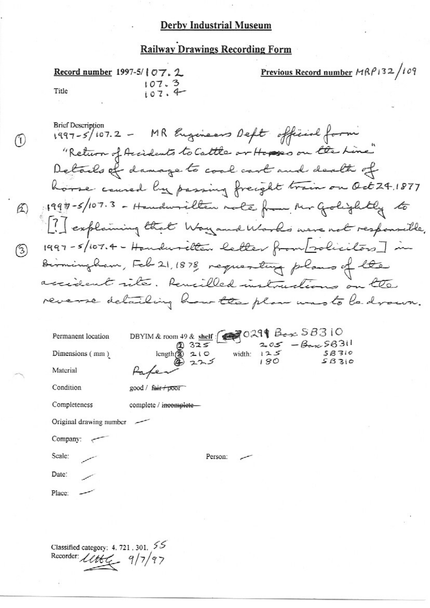# **Railway Drawings Recording Form**

|       | Record number 1997-5/ $07.2$ | Previous Record number $MRP132/109$ |  |
|-------|------------------------------|-------------------------------------|--|
| Title | 107.3<br>107.4               |                                     |  |

**Brief Description** 1997-5/107.2 - MR Engineers Deft official form "Return of Accidents to Cattle or Hopes on the Line" Details of damage to cool cart and dealth of house caused by passing freight train on Oct 24.1877 1990-5/107.3 - Handwrillen mole from Mr Golightly to ? Sexplaining that Way and Works were not responsible. 1997-5/107.4- Handuselten letter from solicitors] in Birmingham, Feb 21, 1878, requesting plans of the accident rite. Remilled instructions on the reverse detailing how the plan was to be drown.

| Permanent location | DBYIM & room 49 & shelf $\bigotimes$ 0299 Box 58310 |     |                  |  |  |
|--------------------|-----------------------------------------------------|-----|------------------|--|--|
|                    | 2325                                                |     | $205 - 60058311$ |  |  |
| Dimensions (mm)    | width:<br>$210$<br>$225$<br>length(2)               | 125 | 5B310<br>SBS10   |  |  |
| Material           |                                                     | 180 |                  |  |  |
| Condition          | $good /$ fair poor                                  |     |                  |  |  |
| Completeness       | complete / incomplete-                              |     |                  |  |  |

Original drawing number

Company:

Scale:

0

 $\mathcal{L}$ 

(3)

Date:

Place:

Classified category: 4.721, 301,  $55$ Recorder: Lettuce 9/7/97

Person: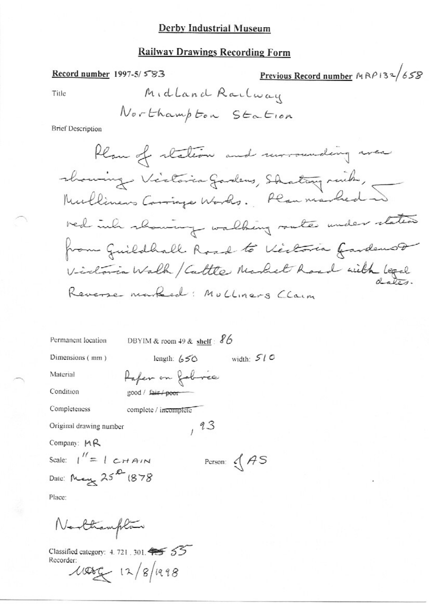# **Railway Drawings Recording Form**

# Record number 1997-5/583

Previous Record number  $MRP132/658$ 

Title

**Brief Description** 

Permanent location

\nDBYIM & room 49 & shell: 
$$
\sqrt[3]{6}
$$

\nDimensions (mm)

\nMaterial

\nEquation

\nCondition

\nConfition

\nCompleteness

\nCompleteness

\nOriginal drawing number

\nCompar: MR

\nScale:  $1'' = 1$  CHAIN

\nDate:  $\mu_{\text{avg}} 25^{\text{2D}} (878)$ 

\nPlace:

\nFlace:

Northampton

Classified category: 4.721, 301, 45 55 Recorder:  $1000 - 12/8/198$